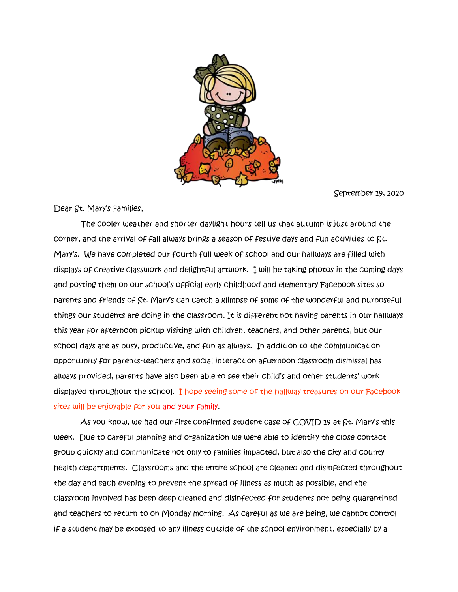

September 19, 2020

Dear St. Mary's Families,

 The cooler weather and shorter daylight hours tell us that autumn is just around the corner, and the arrival of fall always brings a season of festive days and fun activities to St. Mary's. We have completed our fourth full week of school and our hallways are filled with displays of creative classwork and delightful artwork. I will be taking photos in the coming days and posting them on our school's official early childhood and elementary Facebook sites so parents and friends of St. Mary's can catch a glimpse of some of the wonderful and purposeful things our students are doing in the classroom. It is different not having parents in our hallways this year for afternoon pickup visiting with children, teachers, and other parents, but our school days are as busy, productive, and fun as always. In addition to the communication opportunity for parents-teachers and social interaction afternoon classroom dismissal has always provided, parents have also been able to see their child's and other students' work displayed throughout the school. I hope seeing some of the hallway treasures on our Facebook sites will be enjoyable for you and your family.

 As you know, we had our first confirmed student case of COVID-19 at St. Mary's this week. Due to careful planning and organization we were able to identify the close contact group quickly and communicate not only to families impacted, but also the city and county health departments. Classrooms and the entire school are cleaned and disinfected throughout the day and each evening to prevent the spread of illness as much as possible, and the classroom involved has been deep cleaned and disinfected for students not being quarantined and teachers to return to on Monday morning. As careful as we are being, we cannot control if a student may be exposed to any illness outside of the school environment, especially by a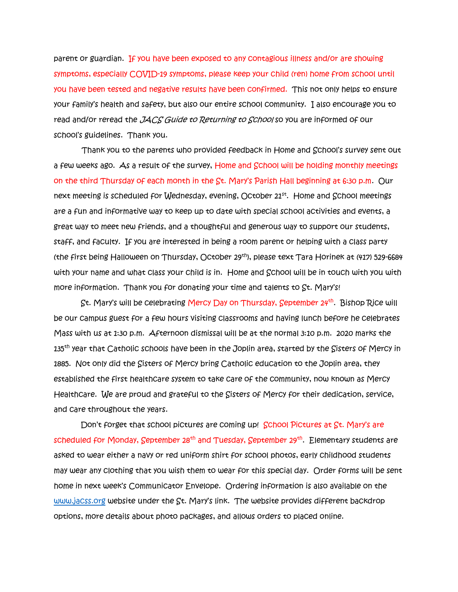parent or guardian. If you have been exposed to any contagious illness and/or are showing symptoms, especially COVID-19 symptoms, please keep your child (ren) home from school until you have been tested and negative results have been confirmed. This not only helps to ensure your family's health and safety, but also our entire school community. I also encourage you to read and/or reread the JACS Guide to Returning to School so you are informed of our school's guidelines. Thank you.

 Thank you to the parents who provided feedback in Home and School's survey sent out a few weeks ago. As a result of the survey, Home and School will be holding monthly meetings on the third Thursday of each month in the St. Mary's Parish Hall beginning at 6:30 p.m. Our next meeting is scheduled for Wednesday, evening, October 21st . Home and School meetings are a fun and informative way to keep up to date with special school activities and events, a great way to meet new friends, and a thoughtful and generous way to support our students, staff, and faculty. If you are interested in being a room parent or helping with a class party (the first being Halloween on Thursday, October 29th), please text Tara Horinek at (417) 529-6684 with your name and what class your child is in. Home and School will be in touch with you with more information. Thank you for donating your time and talents to St. Mary's!

St. Mary's will be celebrating Mercy Day on Thursday, September 24<sup>th</sup>. Bishop Rice will be our campus guest for a few hours visiting classrooms and having lunch before he celebrates Mass with us at 1:30 p.m. Afternoon dismissal will be at the normal 3:10 p.m. 2020 marks the  $135<sup>th</sup>$  year that Catholic schools have been in the Joplin area, started by the Sisters of Mercy in 1885. Not only did the Sisters of Mercy bring Catholic education to the Joplin area, they established the first healthcare system to take care of the community, now known as Mercy Healthcare. We are proud and grateful to the Sisters of Mercy for their dedication, service, and care throughout the years.

 Don't forget that school pictures are coming up! School Pictures at St. Mary's are scheduled for Monday, September 28<sup>th</sup> and Tuesday, September 29<sup>th</sup>. Elementary students are asked to wear either a navy or red uniform shirt for school photos, early childhood students may wear any clothing that you wish them to wear for this special day. Order forms will be sent home in next week's Communicator Envelope. Ordering information is also available on the [www.jacss.org](http://www.jacss.org/) website under the St. Mary's link. The website provides different backdrop options, more details about photo packages, and allows orders to placed online.